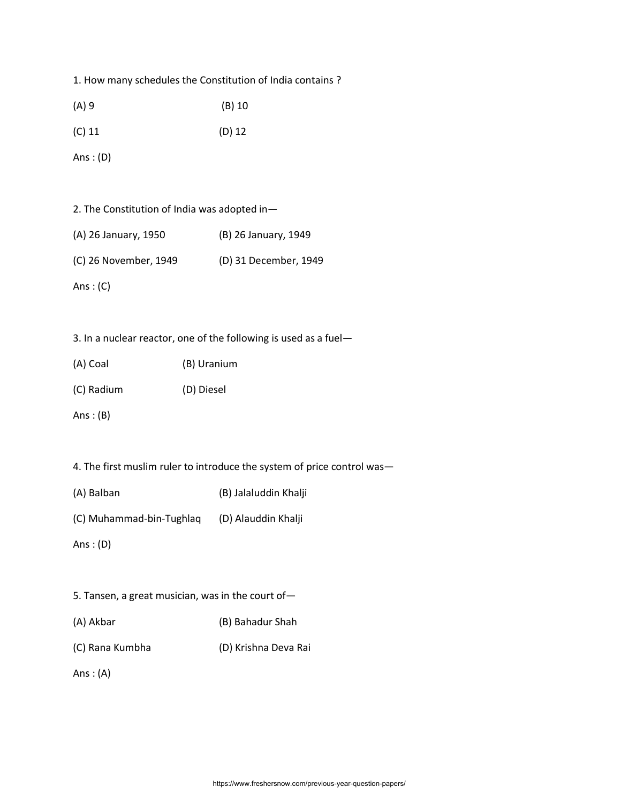1. How many schedules the Constitution of India contains ?

| (A) 9 | $(B)$ 10 |
|-------|----------|
|-------|----------|

(C) 11 (D) 12

Ans : (D)

|  |  |  |  |  | 2. The Constitution of India was adopted in- |  |
|--|--|--|--|--|----------------------------------------------|--|
|--|--|--|--|--|----------------------------------------------|--|

| (A) 26 January, 1950 | (B) 26 January, 1949 |
|----------------------|----------------------|
|                      |                      |

(C) 26 November, 1949 (D) 31 December, 1949

Ans: $(C)$ 

3. In a nuclear reactor, one of the following is used as a fuel—

| (A) Coal | (B) Uranium |
|----------|-------------|
|          |             |

(C) Radium (D) Diesel

Ans  $:(B)$ 

4. The first muslim ruler to introduce the system of price control was—

(A) Balban (B) Jalaluddin Khalji

(C) Muhammad-bin-Tughlaq (D) Alauddin Khalji

Ans : (D)

- 5. Tansen, a great musician, was in the court of—
- (A) Akbar (B) Bahadur Shah
- (C) Rana Kumbha (D) Krishna Deva Rai

Ans  $:(A)$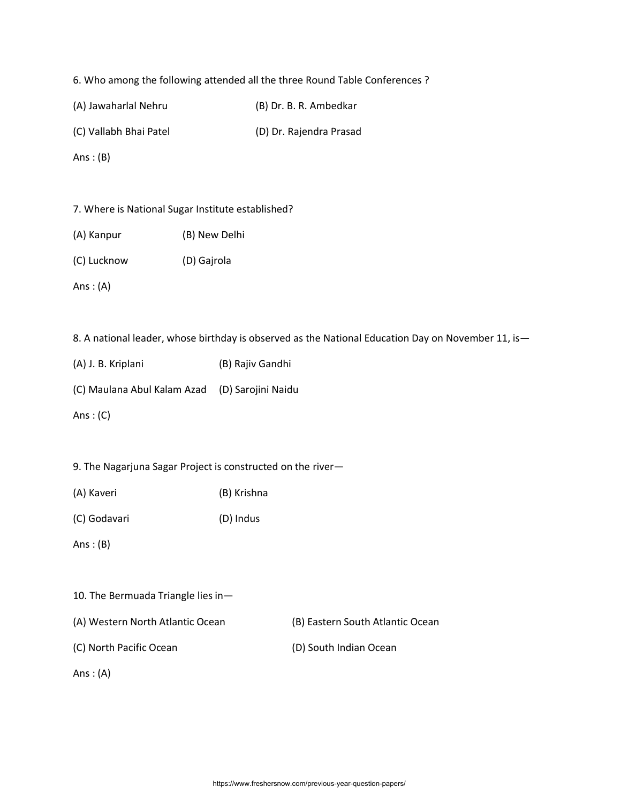6. Who among the following attended all the three Round Table Conferences ?

(A) Jawaharlal Nehru (B) Dr. B. R. Ambedkar

(C) Vallabh Bhai Patel (D) Dr. Rajendra Prasad

Ans  $:(B)$ 

7. Where is National Sugar Institute established?

(A) Kanpur (B) New Delhi

(C) Lucknow (D) Gajrola

Ans: $(A)$ 

8. A national leader, whose birthday is observed as the National Education Day on November 11, is-

(A) J. B. Kriplani (B) Rajiv Gandhi

(C) Maulana Abul Kalam Azad (D) Sarojini Naidu

Ans  $:(C)$ 

9. The Nagarjuna Sagar Project is constructed on the river—

(A) Kaveri (B) Krishna

(C) Godavari (D) Indus

Ans  $:(B)$ 

10. The Bermuada Triangle lies in—

(A) Western North Atlantic Ocean (B) Eastern South Atlantic Ocean

(C) North Pacific Ocean (D) South Indian Ocean

Ans: $(A)$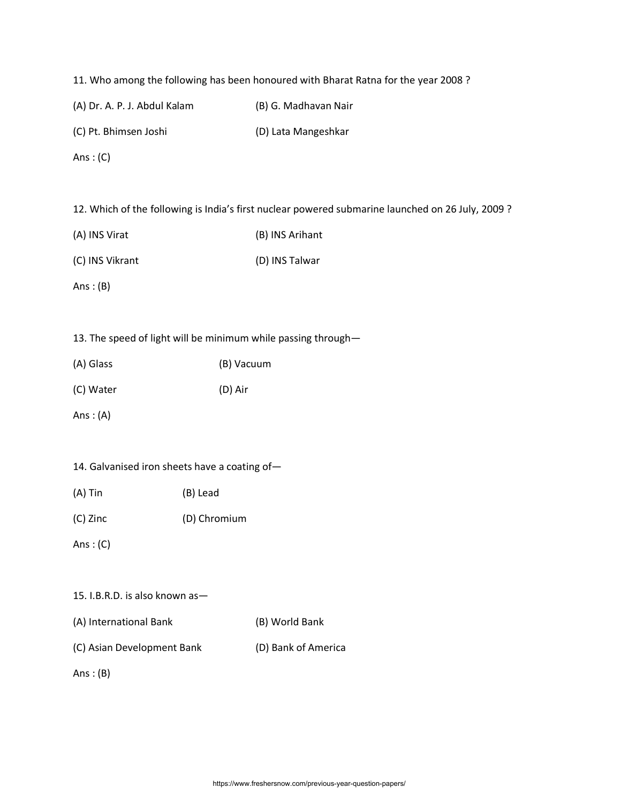11. Who among the following has been honoured with Bharat Ratna for the year 2008 ?

(A) Dr. A. P. J. Abdul Kalam (B) G. Madhavan Nair

(C) Pt. Bhimsen Joshi (D) Lata Mangeshkar

Ans: $(C)$ 

12. Which of the following is India's first nuclear powered submarine launched on 26 July, 2009 ?

| (A) INS Virat | (B) INS Arihant |
|---------------|-----------------|
|               |                 |

(C) INS Vikrant (D) INS Talwar

Ans  $:(B)$ 

13. The speed of light will be minimum while passing through—

| (A) Glass | (B) Vacuum |
|-----------|------------|
| (C) Water | (D) Air    |

Ans : (A)

|  | 14. Galvanised iron sheets have a coating of- |  |  |  |  |  |  |
|--|-----------------------------------------------|--|--|--|--|--|--|
|--|-----------------------------------------------|--|--|--|--|--|--|

(C) Zinc (D) Chromium

Ans : (C)

#### 15. I.B.R.D. is also known as—

(C) Asian Development Bank (D) Bank of America

Ans  $:(B)$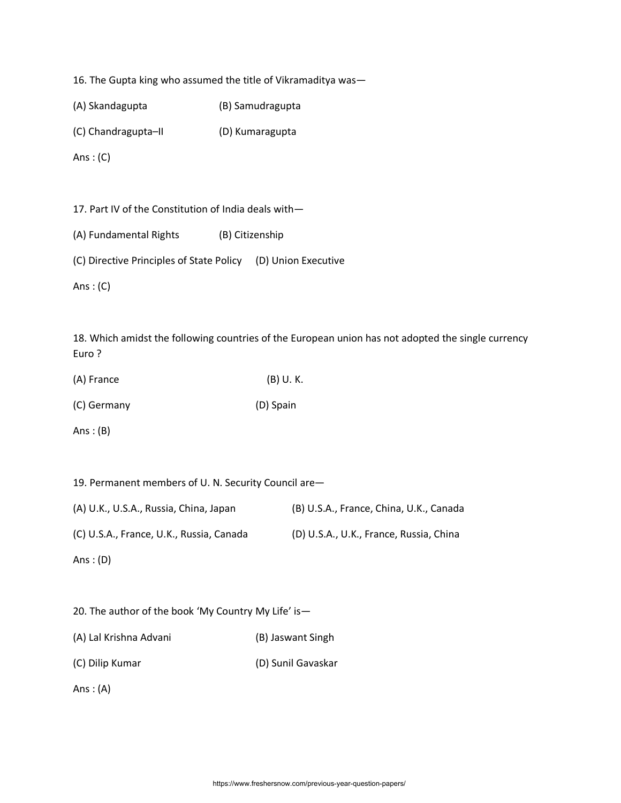16. The Gupta king who assumed the title of Vikramaditya was—

(A) Skandagupta (B) Samudragupta

(C) Chandragupta–II (D) Kumaragupta

Ans  $:(C)$ 

17. Part IV of the Constitution of India deals with—

(A) Fundamental Rights (B) Citizenship

(C) Directive Principles of State Policy (D) Union Executive

Ans  $:(C)$ 

18. Which amidst the following countries of the European union has not adopted the single currency Euro ?

(C) Germany (D) Spain

Ans :  $(B)$ 

19. Permanent members of U. N. Security Council are— (A) U.K., U.S.A., Russia, China, Japan (B) U.S.A., France, China, U.K., Canada (C) U.S.A., France, U.K., Russia, Canada (D) U.S.A., U.K., France, Russia, China

Ans : (D)

20. The author of the book 'My Country My Life' is— (A) Lal Krishna Advani (B) Jaswant Singh (C) Dilip Kumar (D) Sunil Gavaskar Ans: $(A)$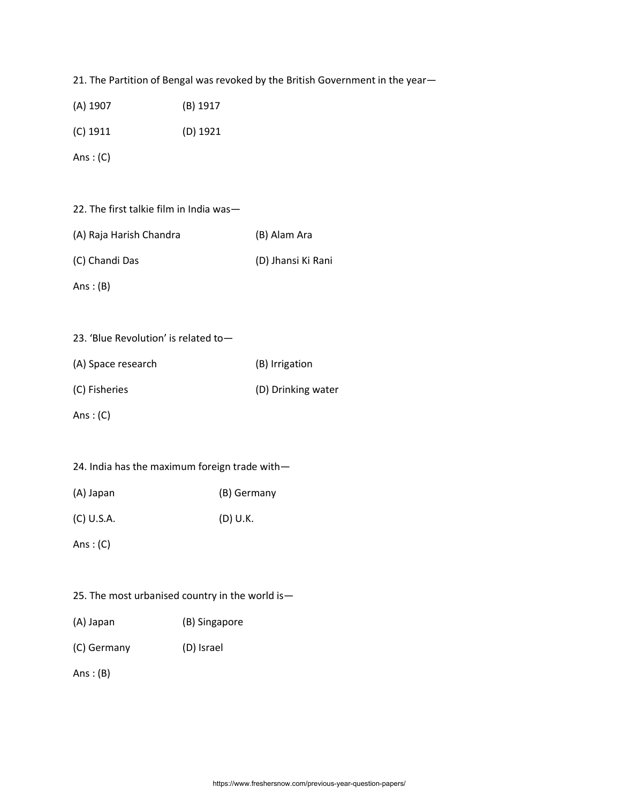21. The Partition of Bengal was revoked by the British Government in the year—

(C) 1911 (D) 1921

Ans  $:(C)$ 

|  |  |  | 22. The first talkie film in India was- |
|--|--|--|-----------------------------------------|
|  |  |  |                                         |

| (A) Raja Harish Chandra | (B) Alam Ara |
|-------------------------|--------------|
|                         |              |

| (C) Chandi Das | (D) Jhansi Ki Rani |
|----------------|--------------------|
|                |                    |

Ans  $:(B)$ 

| 23. 'Blue Revolution' is related to- |  |
|--------------------------------------|--|
|--------------------------------------|--|

| (A) Space research | (B) Irrigation     |
|--------------------|--------------------|
| (C) Fisheries      | (D) Drinking water |

Ans  $:(C)$ 

|  |  |  |  |  |  | 24. India has the maximum foreign trade with- |
|--|--|--|--|--|--|-----------------------------------------------|
|--|--|--|--|--|--|-----------------------------------------------|

(A) Japan (B) Germany

(C) U.S.A. (D) U.K.

Ans : (C)

# 25. The most urbanised country in the world is—

- (A) Japan (B) Singapore
- (C) Germany (D) Israel

Ans : (B)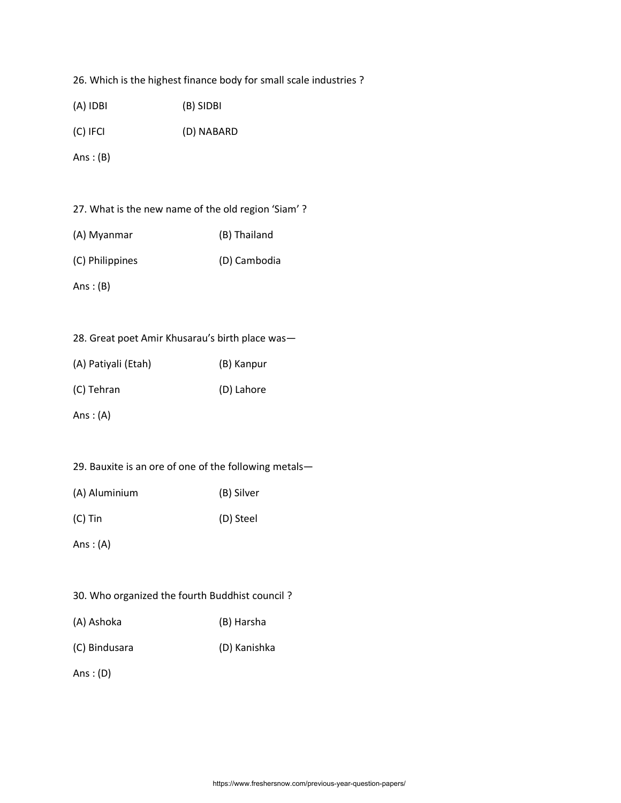26. Which is the highest finance body for small scale industries ?

| $(A)$ IDBI  | (B) SIDBI  |
|-------------|------------|
| $(C)$ IFCI  | (D) NABARD |
| Ans : $(B)$ |            |

| (A) Myanmar | (B) Thailand |
|-------------|--------------|
|             |              |

| (C) Philippines | (D) Cambodia |
|-----------------|--------------|
|-----------------|--------------|

Ans : (B)

|  |  |  | 28. Great poet Amir Khusarau's birth place was- |  |  |  |  |
|--|--|--|-------------------------------------------------|--|--|--|--|
|--|--|--|-------------------------------------------------|--|--|--|--|

| (A) Patiyali (Etah) | (B) Kanpur |
|---------------------|------------|
| (C) Tehran          | (D) Lahore |

Ans : (A)

| (A) Aluminium | (B) Silver |
|---------------|------------|
|---------------|------------|

(C) Tin (D) Steel

Ans : (A)

# 30. Who organized the fourth Buddhist council ?

- (A) Ashoka (B) Harsha
- (C) Bindusara (D) Kanishka

Ans : (D)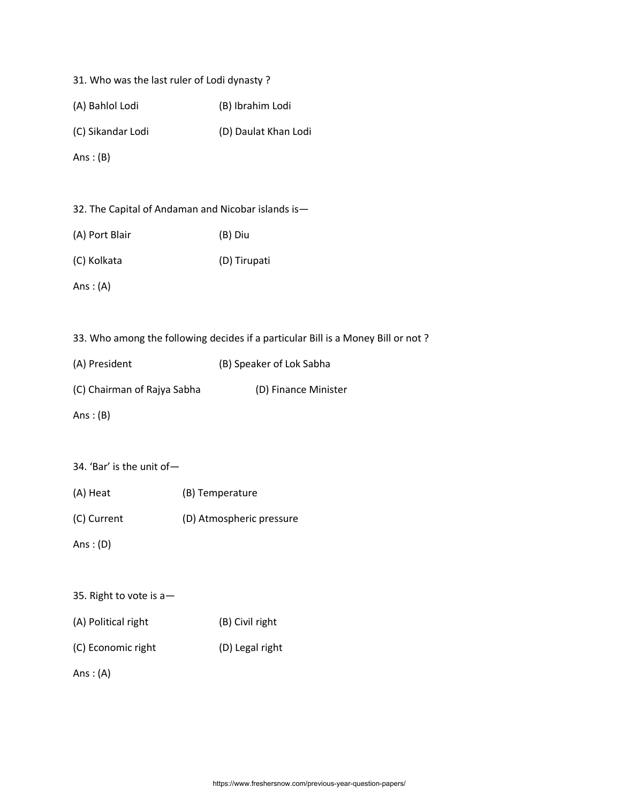|  |  | 31. Who was the last ruler of Lodi dynasty? |  |  |  |  |  |  |
|--|--|---------------------------------------------|--|--|--|--|--|--|
|--|--|---------------------------------------------|--|--|--|--|--|--|

| (A) Bahlol Lodi | (B) Ibrahim Lodi |
|-----------------|------------------|
|-----------------|------------------|

(C) Sikandar Lodi (D) Daulat Khan Lodi

Ans : (B)

|  |  |  |  | 32. The Capital of Andaman and Nicobar islands is- |  |  |  |  |
|--|--|--|--|----------------------------------------------------|--|--|--|--|
|--|--|--|--|----------------------------------------------------|--|--|--|--|

| (A) Port Blair | (B) Diu |
|----------------|---------|
|----------------|---------|

(C) Kolkata (D) Tirupati

Ans  $:(A)$ 

33. Who among the following decides if a particular Bill is a Money Bill or not ?

| (A) President               | (B) Speaker of Lok Sabha |  |  |
|-----------------------------|--------------------------|--|--|
| (C) Chairman of Rajya Sabha | (D) Finance Minister     |  |  |

Ans  $:(B)$ 

### 34. 'Bar' is the unit of—

- (A) Heat (B) Temperature
- (C) Current (D) Atmospheric pressure

Ans : (D)

- 35. Right to vote is a—
- (A) Political right (B) Civil right
- (C) Economic right (D) Legal right

Ans : (A)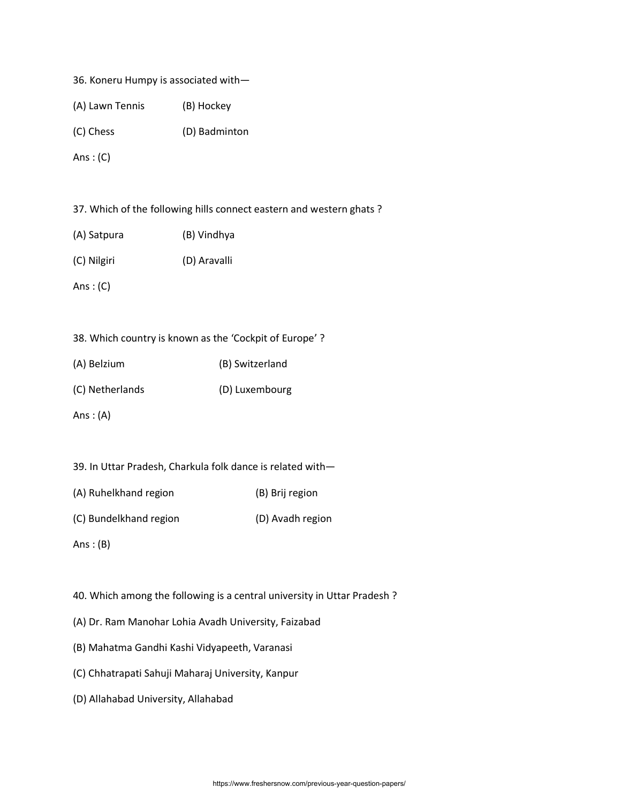|  |  |  |  | 36. Koneru Humpy is associated with- |  |
|--|--|--|--|--------------------------------------|--|
|--|--|--|--|--------------------------------------|--|

| (A) Lawn Tennis | (B) Hockey |
|-----------------|------------|
|-----------------|------------|

(C) Chess (D) Badminton

Ans  $:(C)$ 

37. Which of the following hills connect eastern and western ghats ?

| (A) Satpura | (B) Vindhya |
|-------------|-------------|
|             |             |

(C) Nilgiri (D) Aravalli

Ans: $(C)$ 

38. Which country is known as the 'Cockpit of Europe' ?

| (B) Switzerland |
|-----------------|
|                 |

(C) Netherlands (D) Luxembourg

Ans  $:(A)$ 

- 39. In Uttar Pradesh, Charkula folk dance is related with—
- (A) Ruhelkhand region (B) Brij region
- (C) Bundelkhand region (D) Avadh region

Ans  $:(B)$ 

- 40. Which among the following is a central university in Uttar Pradesh ?
- (A) Dr. Ram Manohar Lohia Avadh University, Faizabad
- (B) Mahatma Gandhi Kashi Vidyapeeth, Varanasi
- (C) Chhatrapati Sahuji Maharaj University, Kanpur
- (D) Allahabad University, Allahabad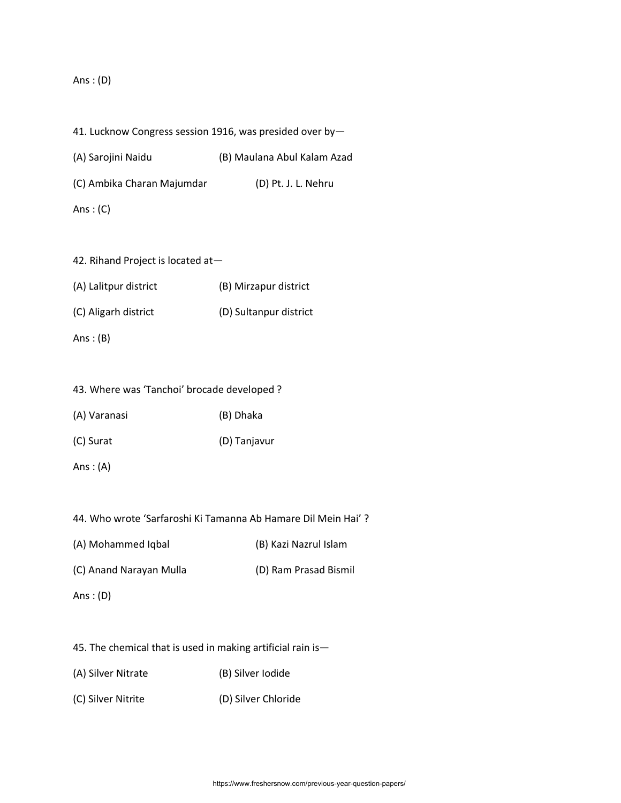#### Ans : (D)

- 41. Lucknow Congress session 1916, was presided over by—
- (A) Sarojini Naidu (B) Maulana Abul Kalam Azad
- (C) Ambika Charan Majumdar (D) Pt. J. L. Nehru
- Ans  $:(C)$
- 42. Rihand Project is located at—
- (A) Lalitpur district (B) Mirzapur district (C) Aligarh district (D) Sultanpur district
- Ans  $:(B)$

|  |  |  |  | 43. Where was 'Tanchoi' brocade developed ? |  |
|--|--|--|--|---------------------------------------------|--|
|--|--|--|--|---------------------------------------------|--|

- (A) Varanasi (B) Dhaka
- (C) Surat (D) Tanjavur
- Ans  $:(A)$

44. Who wrote 'Sarfaroshi Ki Tamanna Ab Hamare Dil Mein Hai' ?

- (A) Mohammed Iqbal (B) Kazi Nazrul Islam
- (C) Anand Narayan Mulla (D) Ram Prasad Bismil
- Ans: $(D)$
- 45. The chemical that is used in making artificial rain is—
- (A) Silver Nitrate (B) Silver Iodide
- (C) Silver Nitrite (D) Silver Chloride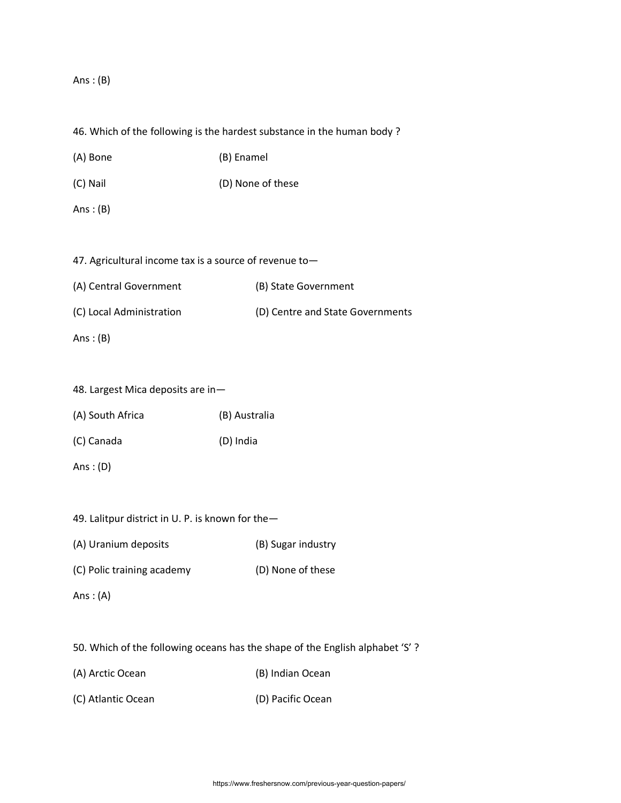Ans  $:(B)$ 

46. Which of the following is the hardest substance in the human body ?

(A) Bone (B) Enamel

(C) Nail (D) None of these

Ans  $:(B)$ 

47. Agricultural income tax is a source of revenue to—

(A) Central Government (B) State Government (C) Local Administration (D) Centre and State Governments

Ans  $:(B)$ 

48. Largest Mica deposits are in—

(A) South Africa (B) Australia

(C) Canada (D) India

Ans : (D)

49. Lalitpur district in U. P. is known for the—

(A) Uranium deposits (B) Sugar industry

(C) Polic training academy (D) None of these

Ans  $:(A)$ 

50. Which of the following oceans has the shape of the English alphabet 'S' ?

(A) Arctic Ocean (B) Indian Ocean

(C) Atlantic Ocean (D) Pacific Ocean